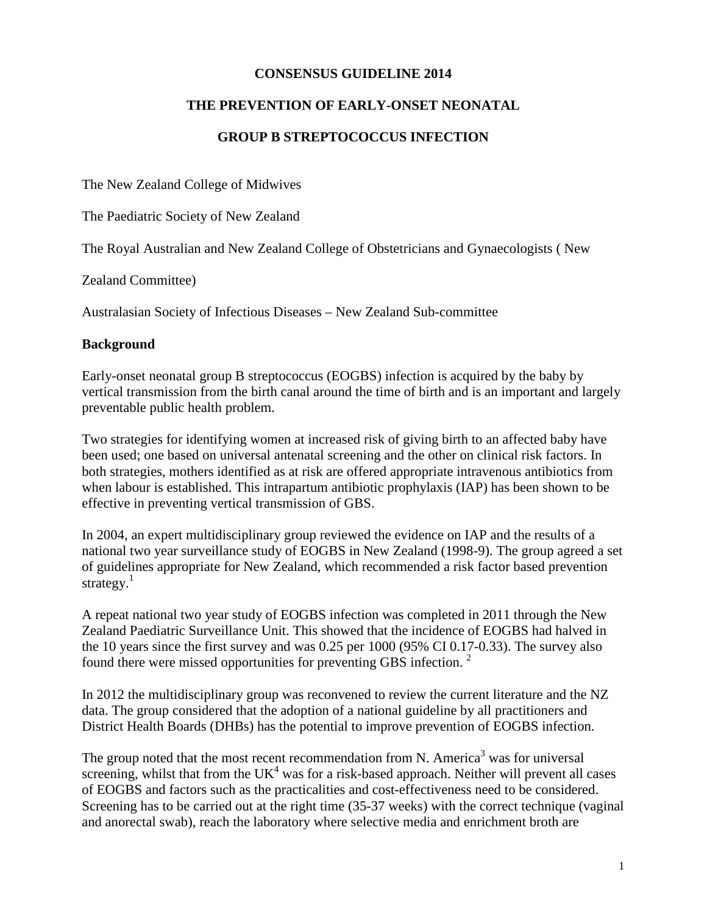#### **CONSENSUS GUIDELINE 2014**

## **THE PREVENTION OF EARLY-ONSET NEONATAL**

## **GROUP B STREPTOCOCCUS INFECTION**

The New Zealand College of Midwives

The Paediatric Society of New Zealand

The Royal Australian and New Zealand College of Obstetricians and Gynaecologists ( New

Zealand Committee)

Australasian Society of Infectious Diseases – New Zealand Sub-committee

#### **Background**

Early-onset neonatal group B streptococcus (EOGBS) infection is acquired by the baby by vertical transmission from the birth canal around the time of birth and is an important and largely preventable public health problem.

Two strategies for identifying women at increased risk of giving birth to an affected baby have been used; one based on universal antenatal screening and the other on clinical risk factors. In both strategies, mothers identified as at risk are offered appropriate intravenous antibiotics from when labour is established. This intrapartum antibiotic prophylaxis (IAP) has been shown to be effective in preventing vertical transmission of GBS.

In 2004, an expert multidisciplinary group reviewed the evidence on IAP and the results of a national two year surveillance study of EOGBS in New Zealand (1998-9). The group agreed a set of guidelines appropriate for New Zealand, which recommended a risk factor based prevention strategy. $1$ 

A repeat national two year study of EOGBS infection was completed in 2011 through the New Zealand Paediatric Surveillance Unit. This showed that the incidence of EOGBS had halved in the 10 years since the first survey and was 0.25 per 1000 (95% CI 0.17-0.33). The survey also found there were missed opportunities for preventing GBS infection. <sup>2</sup>

In 2012 the multidisciplinary group was reconvened to review the current literature and the NZ data. The group considered that the adoption of a national guideline by all practitioners and District Health Boards (DHBs) has the potential to improve prevention of EOGBS infection.

The group noted that the most recent recommendation from N. America<sup>3</sup> was for universal screening, whilst that from the  $UK<sup>4</sup>$  was for a risk-based approach. Neither will prevent all cases of EOGBS and factors such as the practicalities and cost-effectiveness need to be considered. Screening has to be carried out at the right time (35-37 weeks) with the correct technique (vaginal and anorectal swab), reach the laboratory where selective media and enrichment broth are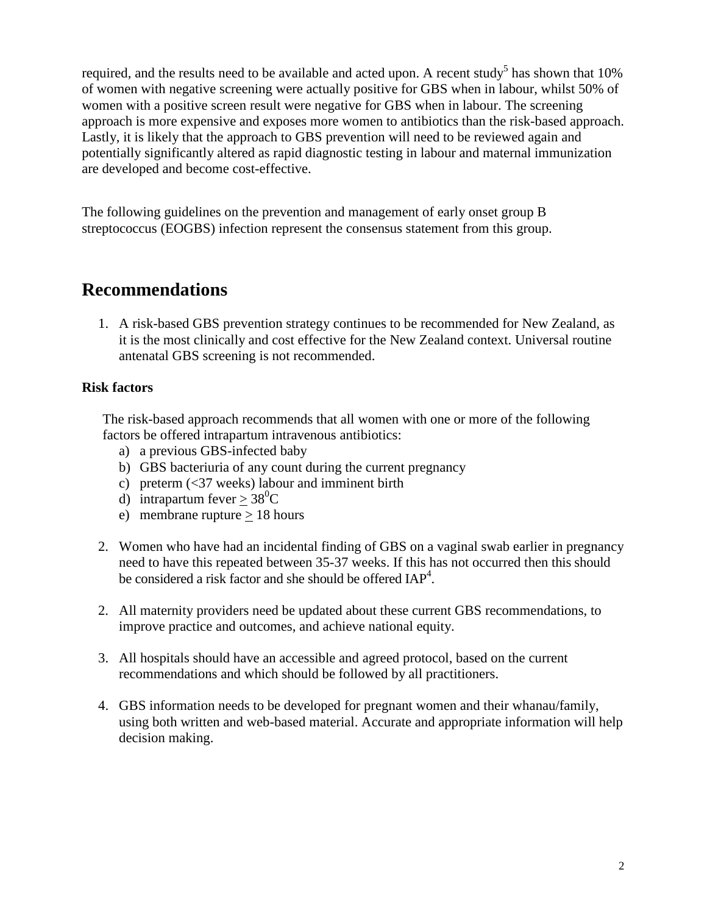required, and the results need to be available and acted upon. A recent study<sup>5</sup> has shown that  $10\%$ of women with negative screening were actually positive for GBS when in labour, whilst 50% of women with a positive screen result were negative for GBS when in labour. The screening approach is more expensive and exposes more women to antibiotics than the risk-based approach. Lastly, it is likely that the approach to GBS prevention will need to be reviewed again and potentially significantly altered as rapid diagnostic testing in labour and maternal immunization are developed and become cost-effective.

The following guidelines on the prevention and management of early onset group B streptococcus (EOGBS) infection represent the consensus statement from this group.

# **Recommendations**

1. A risk-based GBS prevention strategy continues to be recommended for New Zealand, as it is the most clinically and cost effective for the New Zealand context. Universal routine antenatal GBS screening is not recommended.

## **Risk factors**

 The risk-based approach recommends that all women with one or more of the following factors be offered intrapartum intravenous antibiotics:

- a) a previous GBS-infected baby
- b) GBS bacteriuria of any count during the current pregnancy
- c) preterm (<37 weeks) labour and imminent birth
- d) intrapartum fever  $\geq 38^0C$
- e) membrane rupture > 18 hours
- 2. Women who have had an incidental finding of GBS on a vaginal swab earlier in pregnancy need to have this repeated between 35-37 weeks. If this has not occurred then this should be considered a risk factor and she should be offered IAP<sup>4</sup>.
- 2. All maternity providers need be updated about these current GBS recommendations, to improve practice and outcomes, and achieve national equity.
- 3. All hospitals should have an accessible and agreed protocol, based on the current recommendations and which should be followed by all practitioners.
- 4. GBS information needs to be developed for pregnant women and their whanau/family, using both written and web-based material. Accurate and appropriate information will help decision making.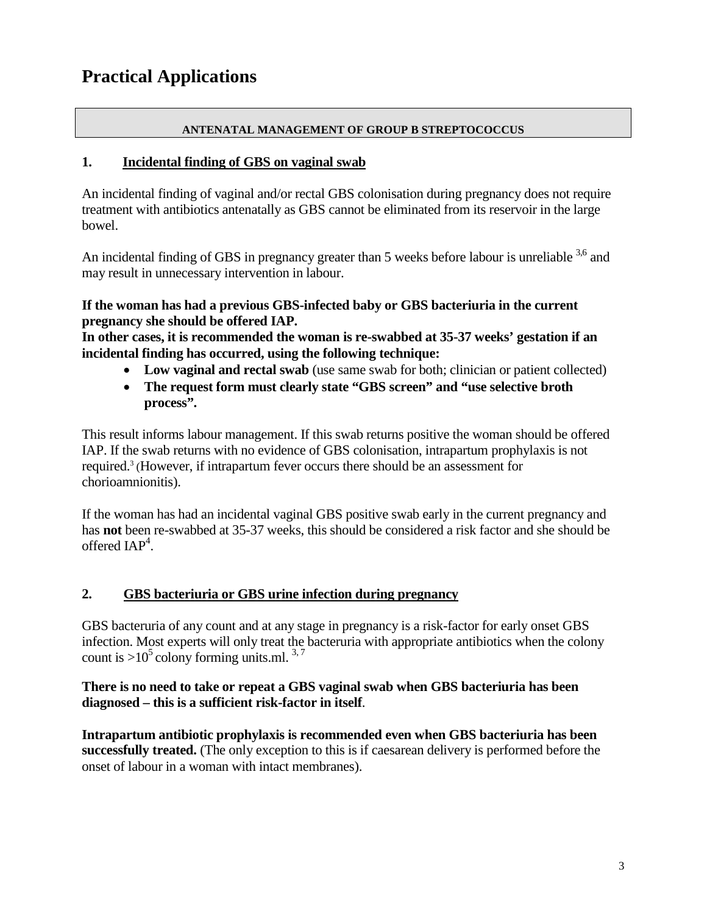#### **ANTENATAL MANAGEMENT OF GROUP B STREPTOCOCCUS**

## **1. Incidental finding of GBS on vaginal swab**

An incidental finding of vaginal and/or rectal GBS colonisation during pregnancy does not require treatment with antibiotics antenatally as GBS cannot be eliminated from its reservoir in the large bowel.

An incidental finding of GBS in pregnancy greater than 5 weeks before labour is unreliable <sup>3,6</sup> and may result in unnecessary intervention in labour.

## **If the woman has had a previous GBS-infected baby or GBS bacteriuria in the current pregnancy she should be offered IAP.**

**In other cases, it is recommended the woman is re-swabbed at 35-37 weeks' gestation if an incidental finding has occurred, using the following technique:** 

- **Low vaginal and rectal swab** (use same swab for both; clinician or patient collected)
- **The request form must clearly state "GBS screen" and "use selective broth process".**

This result informs labour management. If this swab returns positive the woman should be offered IAP. If the swab returns with no evidence of GBS colonisation, intrapartum prophylaxis is not required. <sup>3</sup> (However, if intrapartum fever occurs there should be an assessment for chorioamnionitis).

If the woman has had an incidental vaginal GBS positive swab early in the current pregnancy and has **not** been re-swabbed at 35-37 weeks, this should be considered a risk factor and she should be offered  $IAP<sup>4</sup>$ .

## **2. GBS bacteriuria or GBS urine infection during pregnancy**

GBS bacteruria of any count and at any stage in pregnancy is a risk-factor for early onset GBS infection. Most experts will only treat the bacteruria with appropriate antibiotics when the colony count is  $>10^5$  colony forming units.ml.  $3.7$ 

## **There is no need to take or repeat a GBS vaginal swab when GBS bacteriuria has been diagnosed – this is a sufficient risk-factor in itself**.

**Intrapartum antibiotic prophylaxis is recommended even when GBS bacteriuria has been successfully treated.** (The only exception to this is if caesarean delivery is performed before the onset of labour in a woman with intact membranes).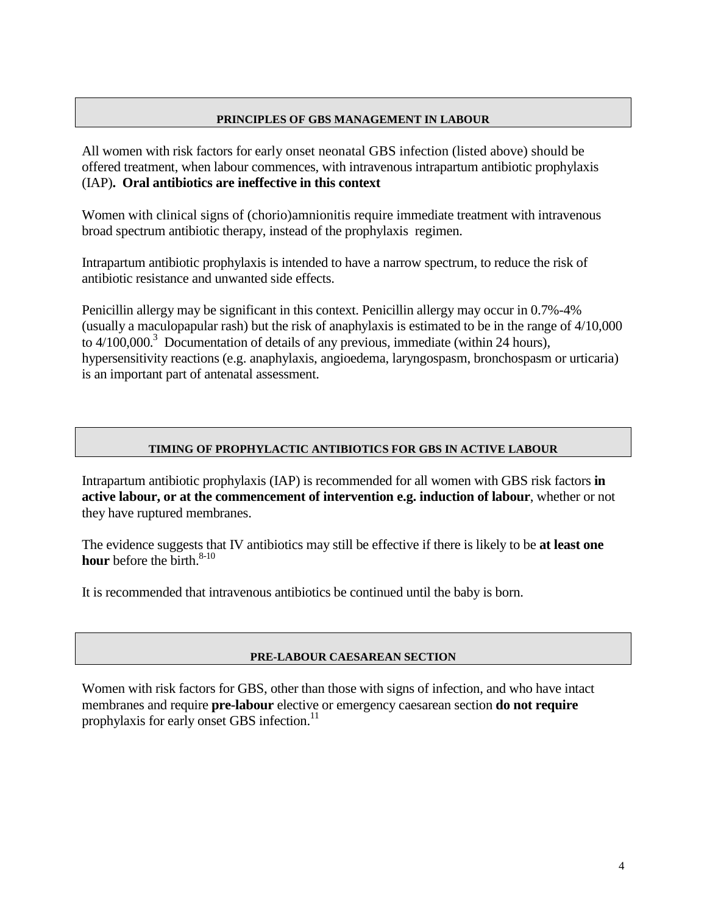#### **PRINCIPLES OF GBS MANAGEMENT IN LABOUR**

All women with risk factors for early onset neonatal GBS infection (listed above) should be offered treatment, when labour commences, with intravenous intrapartum antibiotic prophylaxis (IAP)**. Oral antibiotics are ineffective in this context**

Women with clinical signs of (chorio)amnionitis require immediate treatment with intravenous broad spectrum antibiotic therapy, instead of the prophylaxis regimen.

Intrapartum antibiotic prophylaxis is intended to have a narrow spectrum, to reduce the risk of antibiotic resistance and unwanted side effects.

Penicillin allergy may be significant in this context. Penicillin allergy may occur in 0.7%-4% (usually a maculopapular rash) but the risk of anaphylaxis is estimated to be in the range of 4/10,000 to  $4/100,000$ <sup>3</sup> Documentation of details of any previous, immediate (within 24 hours), hypersensitivity reactions (e.g. anaphylaxis, angioedema, laryngospasm, bronchospasm or urticaria) is an important part of antenatal assessment.

#### **TIMING OF PROPHYLACTIC ANTIBIOTICS FOR GBS IN ACTIVE LABOUR**

Intrapartum antibiotic prophylaxis (IAP) is recommended for all women with GBS risk factors **in active labour, or at the commencement of intervention e.g. induction of labour**, whether or not they have ruptured membranes.

The evidence suggests that IV antibiotics may still be effective if there is likely to be **at least one hour** before the birth. 8-10

It is recommended that intravenous antibiotics be continued until the baby is born.

#### **PRE-LABOUR CAESAREAN SECTION**

Women with risk factors for GBS, other than those with signs of infection, and who have intact membranes and require **pre-labour** elective or emergency caesarean section **do not require** prophylaxis for early onset GBS infection. 11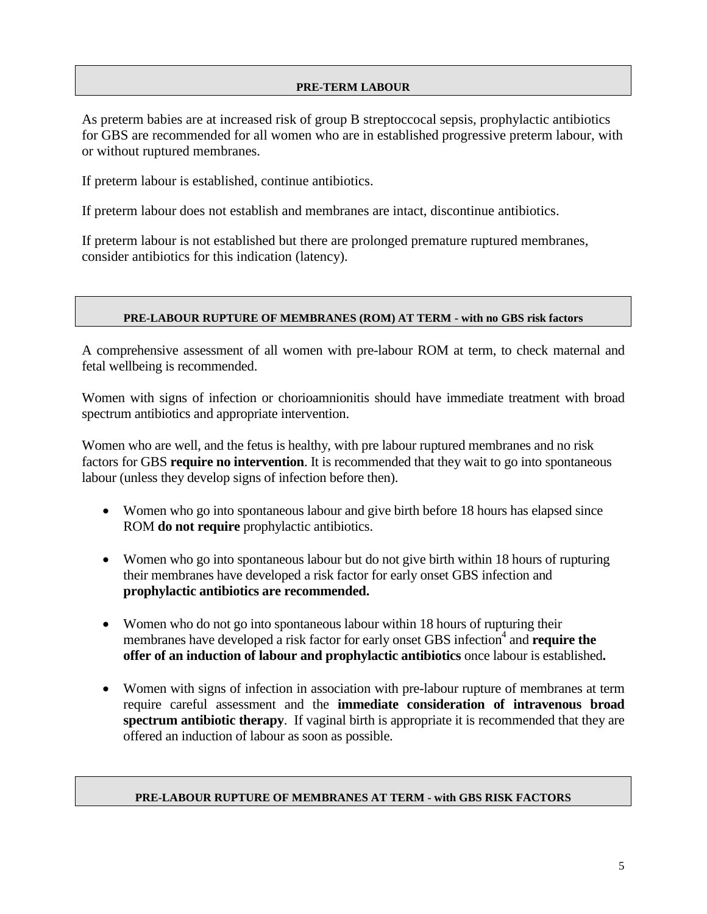#### **PRE-TERM LABOUR**

As preterm babies are at increased risk of group B streptoccocal sepsis, prophylactic antibiotics for GBS are recommended for all women who are in established progressive preterm labour, with or without ruptured membranes.

If preterm labour is established, continue antibiotics.

If preterm labour does not establish and membranes are intact, discontinue antibiotics.

If preterm labour is not established but there are prolonged premature ruptured membranes, consider antibiotics for this indication (latency).

#### **PRE-LABOUR RUPTURE OF MEMBRANES (ROM) AT TERM - with no GBS risk factors**

A comprehensive assessment of all women with pre-labour ROM at term, to check maternal and fetal wellbeing is recommended.

Women with signs of infection or chorioamnionitis should have immediate treatment with broad spectrum antibiotics and appropriate intervention.

Women who are well, and the fetus is healthy, with pre labour ruptured membranes and no risk factors for GBS **require no intervention**. It is recommended that they wait to go into spontaneous labour (unless they develop signs of infection before then).

- Women who go into spontaneous labour and give birth before 18 hours has elapsed since ROM **do not require** prophylactic antibiotics.
- Women who go into spontaneous labour but do not give birth within 18 hours of rupturing their membranes have developed a risk factor for early onset GBS infection and **prophylactic antibiotics are recommended.**
- Women who do not go into spontaneous labour within 18 hours of rupturing their membranes have developed a risk factor for early onset GBS infection<sup>4</sup> and **require the offer of an induction of labour and prophylactic antibiotics** once labour is established**.**
- Women with signs of infection in association with pre-labour rupture of membranes at term require careful assessment and the **immediate consideration of intravenous broad spectrum antibiotic therapy**. If vaginal birth is appropriate it is recommended that they are offered an induction of labour as soon as possible.

#### **PRE-LABOUR RUPTURE OF MEMBRANES AT TERM - with GBS RISK FACTORS**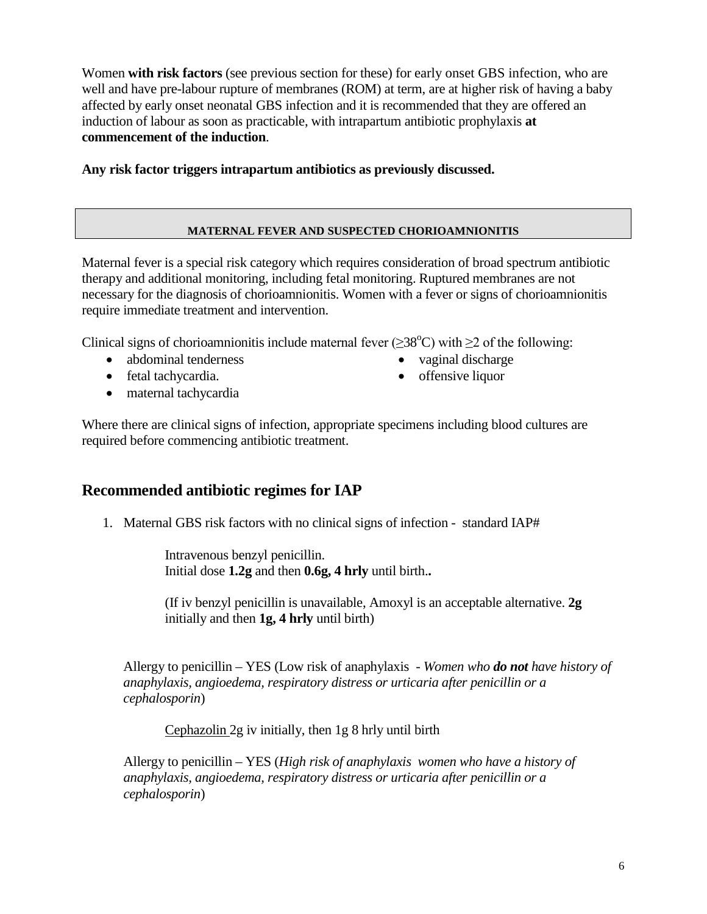Women **with risk factors** (see previous section for these) for early onset GBS infection, who are well and have pre-labour rupture of membranes (ROM) at term, are at higher risk of having a baby affected by early onset neonatal GBS infection and it is recommended that they are offered an induction of labour as soon as practicable, with intrapartum antibiotic prophylaxis **at commencement of the induction**.

**Any risk factor triggers intrapartum antibiotics as previously discussed.**

#### **MATERNAL FEVER AND SUSPECTED CHORIOAMNIONITIS**

Maternal fever is a special risk category which requires consideration of broad spectrum antibiotic therapy and additional monitoring, including fetal monitoring. Ruptured membranes are not necessary for the diagnosis of chorioamnionitis. Women with a fever or signs of chorioamnionitis require immediate treatment and intervention.

Clinical signs of chorioamnionitis include maternal fever ( $\geq$ 38°C) with  $\geq$ 2 of the following:

- abdominal tenderness
- fetal tachycardia.
- vaginal discharge
- offensive liquor

• maternal tachycardia

Where there are clinical signs of infection, appropriate specimens including blood cultures are required before commencing antibiotic treatment.

## **Recommended antibiotic regimes for IAP**

1. Maternal GBS risk factors with no clinical signs of infection - standard IAP#

Intravenous benzyl penicillin. Initial dose **1.2g** and then **0.6g, 4 hrly** until birth.**.** 

(If iv benzyl penicillin is unavailable, Amoxyl is an acceptable alternative. **2g**  initially and then **1g, 4 hrly** until birth)

Allergy to penicillin – YES (Low risk of anaphylaxis - *Women who do not have history of anaphylaxis, angioedema, respiratory distress or urticaria after penicillin or a cephalosporin*)

Cephazolin 2g iv initially, then 1g 8 hrly until birth

Allergy to penicillin – YES (*High risk of anaphylaxis women who have a history of anaphylaxis, angioedema, respiratory distress or urticaria after penicillin or a cephalosporin*)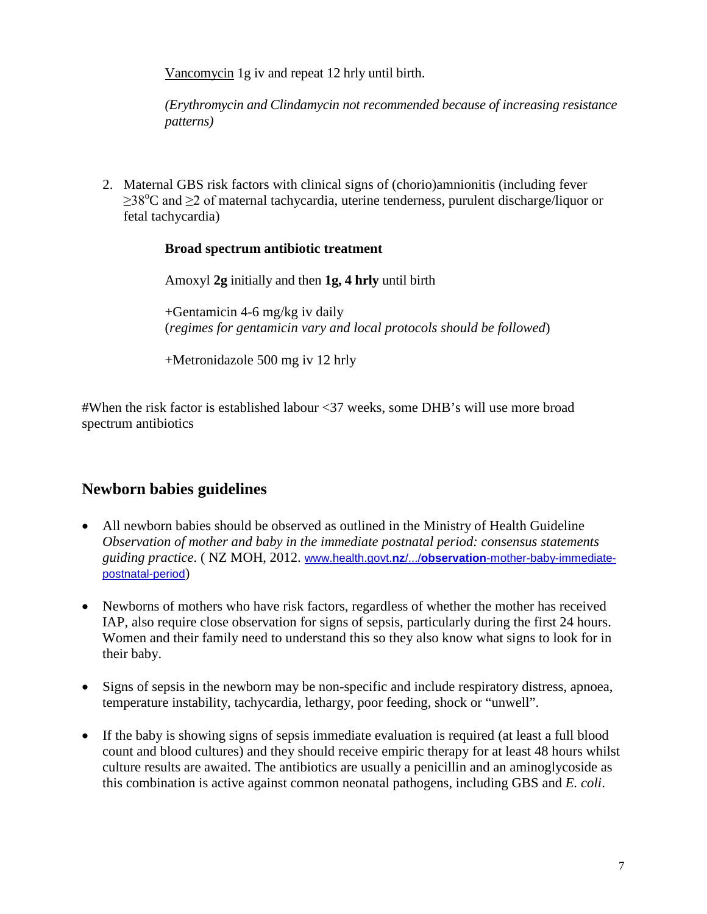Vancomycin 1g iv and repeat 12 hrly until birth.

*(Erythromycin and Clindamycin not recommended because of increasing resistance patterns)*

2. Maternal GBS risk factors with clinical signs of (chorio)amnionitis (including fever ≥38°C and ≥2 of maternal tachycardia, uterine tenderness, purulent discharge/liquor or fetal tachycardia)

## **Broad spectrum antibiotic treatment**

Amoxyl **2g** initially and then **1g, 4 hrly** until birth

+Gentamicin 4-6 mg/kg iv daily (*regimes for gentamicin vary and local protocols should be followed*)

+Metronidazole 500 mg iv 12 hrly

#When the risk factor is established labour <37 weeks, some DHB's will use more broad spectrum antibiotics

## **Newborn babies guidelines**

- All newborn babies should be observed as outlined in the Ministry of Health Guideline *Observation of mother and baby in the immediate postnatal period: consensus statements guiding practice*. ( NZ MOH, 2012. www.health.govt.**nz**/.../**observation**[-mother-baby-immediate](http://www.health.govt.nz/.../observation-mother-baby-immediate-postnatal-period)[postnatal-period](http://www.health.govt.nz/.../observation-mother-baby-immediate-postnatal-period))
- Newborns of mothers who have risk factors, regardless of whether the mother has received IAP, also require close observation for signs of sepsis, particularly during the first 24 hours. Women and their family need to understand this so they also know what signs to look for in their baby.
- Signs of sepsis in the newborn may be non-specific and include respiratory distress, apnoea, temperature instability, tachycardia, lethargy, poor feeding, shock or "unwell".
- If the baby is showing signs of sepsis immediate evaluation is required (at least a full blood count and blood cultures) and they should receive empiric therapy for at least 48 hours whilst culture results are awaited. The antibiotics are usually a penicillin and an aminoglycoside as this combination is active against common neonatal pathogens, including GBS and *E. coli*.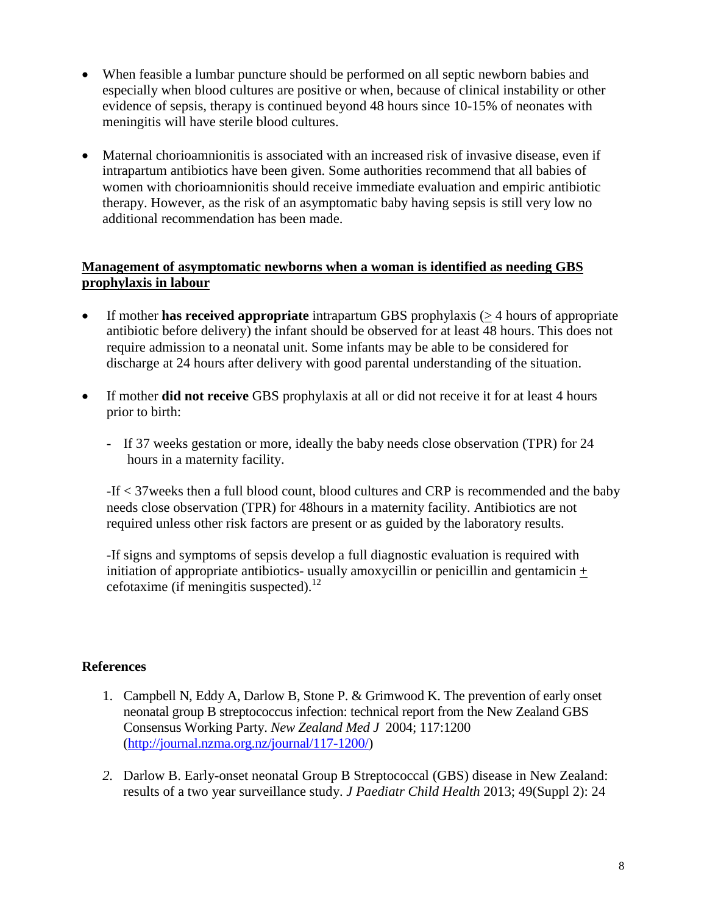- When feasible a lumbar puncture should be performed on all septic newborn babies and especially when blood cultures are positive or when, because of clinical instability or other evidence of sepsis, therapy is continued beyond 48 hours since 10-15% of neonates with meningitis will have sterile blood cultures.
- Maternal chorioamnionitis is associated with an increased risk of invasive disease, even if intrapartum antibiotics have been given. Some authorities recommend that all babies of women with chorioamnionitis should receive immediate evaluation and empiric antibiotic therapy. However, as the risk of an asymptomatic baby having sepsis is still very low no additional recommendation has been made.

## **Management of asymptomatic newborns when a woman is identified as needing GBS prophylaxis in labour**

- If mother **has received appropriate** intrapartum GBS prophylaxis (> 4 hours of appropriate antibiotic before delivery) the infant should be observed for at least 48 hours. This does not require admission to a neonatal unit. Some infants may be able to be considered for discharge at 24 hours after delivery with good parental understanding of the situation.
- If mother **did not receive** GBS prophylaxis at all or did not receive it for at least 4 hours prior to birth:
	- If 37 weeks gestation or more, ideally the baby needs close observation (TPR) for 24 hours in a maternity facility.

-If < 37weeks then a full blood count, blood cultures and CRP is recommended and the baby needs close observation (TPR) for 48hours in a maternity facility. Antibiotics are not required unless other risk factors are present or as guided by the laboratory results.

-If signs and symptoms of sepsis develop a full diagnostic evaluation is required with initiation of appropriate antibiotics- usually amoxycillin or penicillin and gentamicin  $+$ cefotaxime (if meningitis suspected).<sup>12</sup>

## **References**

- 1. Campbell N, Eddy A, Darlow B, Stone P. & Grimwood K. The prevention of early onset neonatal group B streptococcus infection: technical report from the New Zealand GBS Consensus Working Party. *New Zealand Med J* 2004; 117:1200 [\(http://journal.nzma.org.nz/journal/117-1200/\)](http://journal.nzma.org.nz/journal/117-1200/)
- *2.* Darlow B. Early-onset neonatal Group B Streptococcal (GBS) disease in New Zealand: results of a two year surveillance study. *J Paediatr Child Health* 2013; 49(Suppl 2): 24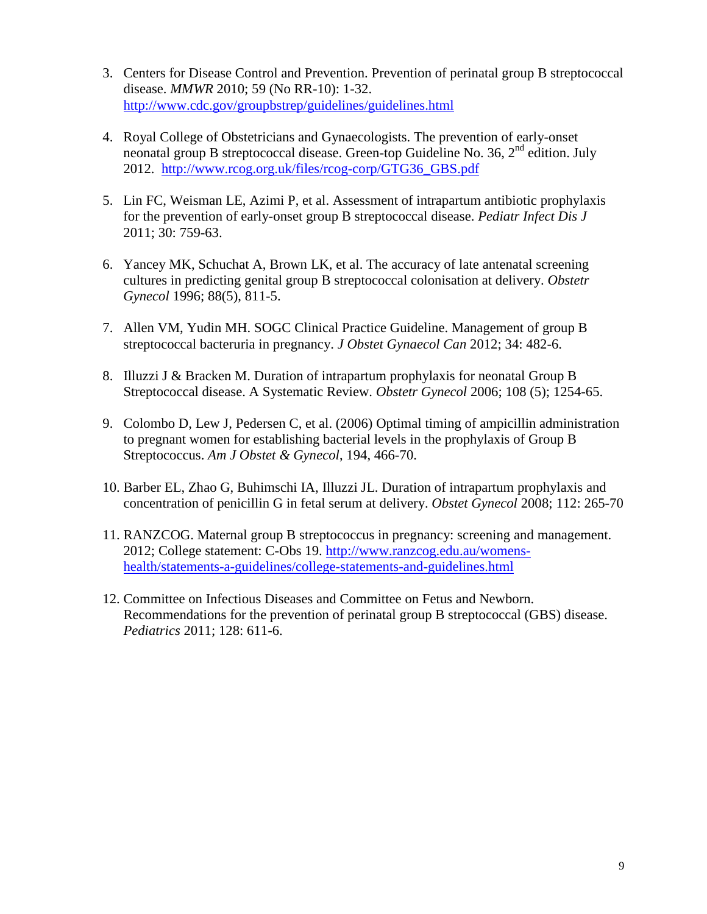- 3. Centers for Disease Control and Prevention. Prevention of perinatal group B streptococcal disease. *MMWR* 2010; 59 (No RR-10): 1-32. <http://www.cdc.gov/groupbstrep/guidelines/guidelines.html>
- 4. Royal College of Obstetricians and Gynaecologists. The prevention of early-onset neonatal group B streptococcal disease. Green-top Guideline No. 36, 2<sup>nd</sup> edition. July 2012. [http://www.rcog.org.uk/files/rcog-corp/GTG36\\_GBS.pdf](http://www.rcog.org.uk/files/rcog-corp/GTG36_GBS.pdf)
- 5. Lin FC, Weisman LE, Azimi P, et al. Assessment of intrapartum antibiotic prophylaxis for the prevention of early-onset group B streptococcal disease. *Pediatr Infect Dis J*  2011; 30: 759-63.
- 6. Yancey MK, Schuchat A, Brown LK, et al. The accuracy of late antenatal screening cultures in predicting genital group B streptococcal colonisation at delivery. *Obstetr Gynecol* 1996; 88(5), 811-5.
- 7. Allen VM, Yudin MH. SOGC Clinical Practice Guideline. Management of group B streptococcal bacteruria in pregnancy. *J Obstet Gynaecol Can* 2012; 34: 482-6.
- 8. Illuzzi J & Bracken M. Duration of intrapartum prophylaxis for neonatal Group B Streptococcal disease. A Systematic Review. *Obstetr Gynecol* 2006; 108 (5); 1254-65.
- 9. Colombo D, Lew J, Pedersen C, et al. (2006) Optimal timing of ampicillin administration to pregnant women for establishing bacterial levels in the prophylaxis of Group B Streptococcus. *Am J Obstet & Gynecol*, 194, 466-70.
- 10. Barber EL, Zhao G, Buhimschi IA, Illuzzi JL. Duration of intrapartum prophylaxis and concentration of penicillin G in fetal serum at delivery. *Obstet Gynecol* 2008; 112: 265-70
- 11. RANZCOG. Maternal group B streptococcus in pregnancy: screening and management. 2012; College statement: C-Obs 19. [http://www.ranzcog.edu.au/womens](http://www.ranzcog.edu.au/womens-health/statements-a-guidelines/college-statements-and-guidelines.html)[health/statements-a-guidelines/college-statements-and-guidelines.html](http://www.ranzcog.edu.au/womens-health/statements-a-guidelines/college-statements-and-guidelines.html)
- 12. Committee on Infectious Diseases and Committee on Fetus and Newborn. Recommendations for the prevention of perinatal group B streptococcal (GBS) disease. *Pediatrics* 2011; 128: 611-6.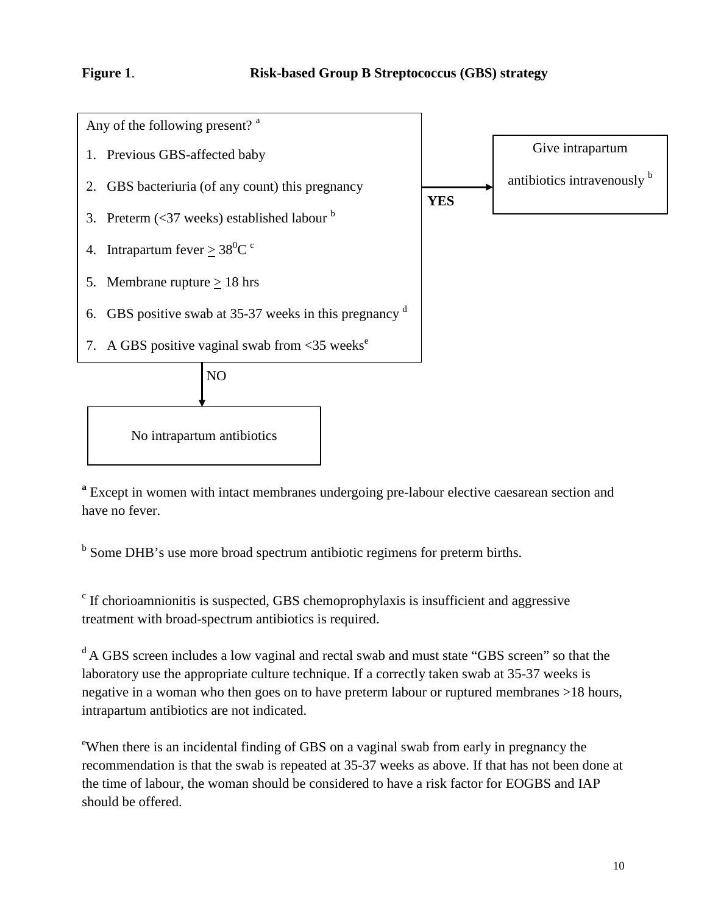

**<sup>a</sup>** Except in women with intact membranes undergoing pre-labour elective caesarean section and have no fever.

<sup>b</sup> Some DHB's use more broad spectrum antibiotic regimens for preterm births.

 $\degree$  If chorioamnionitis is suspected, GBS chemoprophylaxis is insufficient and aggressive treatment with broad-spectrum antibiotics is required.

<sup>d</sup> A GBS screen includes a low vaginal and rectal swab and must state "GBS screen" so that the laboratory use the appropriate culture technique. If a correctly taken swab at 35-37 weeks is negative in a woman who then goes on to have preterm labour or ruptured membranes >18 hours, intrapartum antibiotics are not indicated.

e When there is an incidental finding of GBS on a vaginal swab from early in pregnancy the recommendation is that the swab is repeated at 35-37 weeks as above. If that has not been done at the time of labour, the woman should be considered to have a risk factor for EOGBS and IAP should be offered.